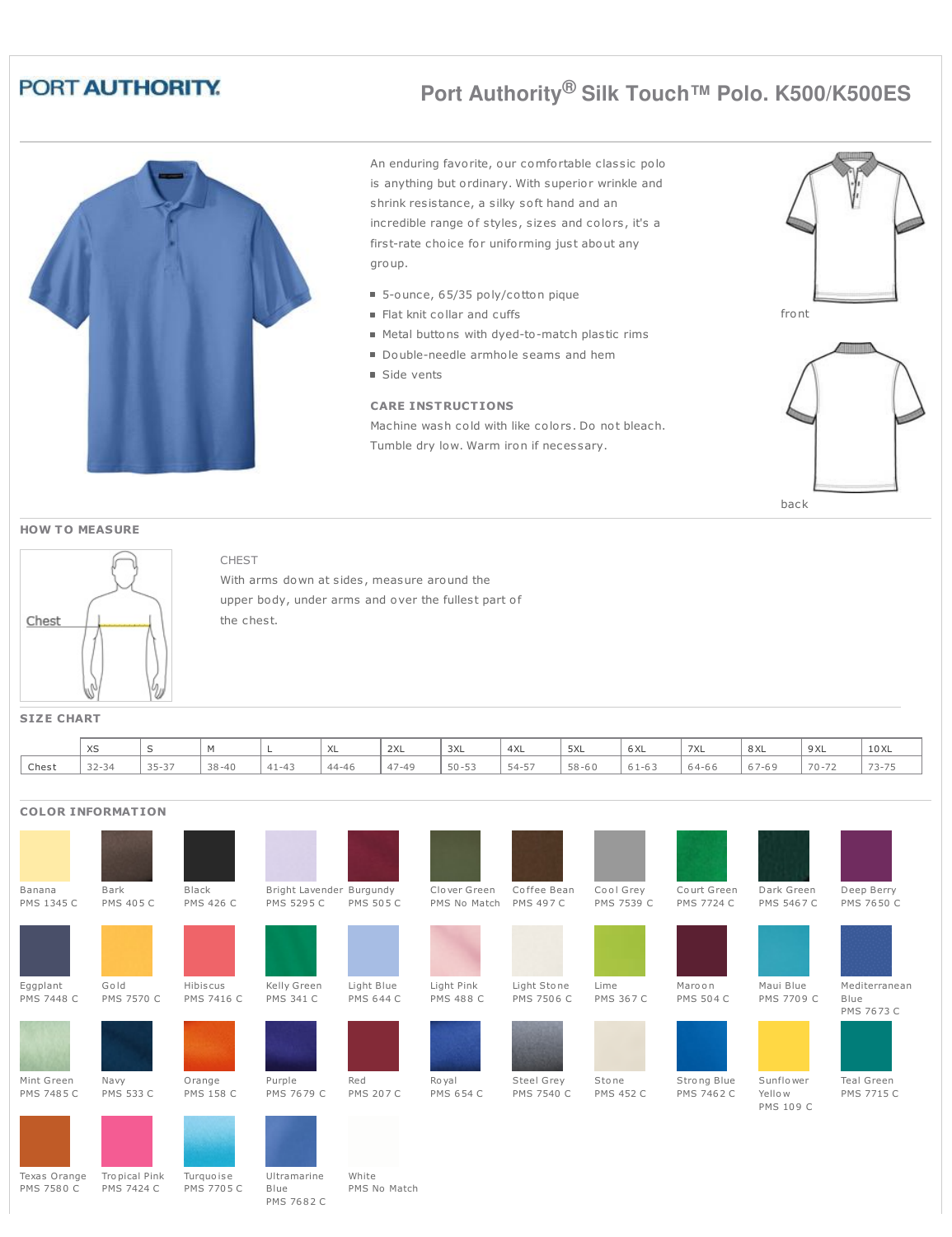## PORT AUTHORITY.

# **Port Authority® Silk Touch™ Polo. K500/K500ES**



CHEST

PMS 7682 C

An enduring favorite, our comfortable classic polo is anything but ordinary. With superior wrinkle and shrink resistance, a silky soft hand and an incredible range of styles, sizes and colors, it's a first-rate choice for uniforming just about any group.

- 5-ounce, 65/35 poly/cotton pique
- Flat knit collar and cuffs
- Metal buttons with dyed-to-match plastic rims
- Double-needle armhole seams and hem
- Side vents

#### **CARE INSTRUCTIONS**

Machine wash cold with like colors. Do not bleach. Tumble dry low. Warm iron if necessary.





back



**HOW T O MEASURE**

|  |  | <b>SIZE CHART</b> |  |
|--|--|-------------------|--|
|  |  |                   |  |

|       | XS             | -                                 |           |                            | ハヒ        | 2XL                             | 3XL       | 4XL   | 5XL       | $\sim$ $\sim$<br><b>b</b> XL | 7XL       | $\circ \vee$<br>ᇰᄉᄂ | 9 XL     | 10 XL |
|-------|----------------|-----------------------------------|-----------|----------------------------|-----------|---------------------------------|-----------|-------|-----------|------------------------------|-----------|---------------------|----------|-------|
| Chest | 22.21<br>32-34 | $\sim$ $ \sim$ $-$<br>ベヘード<br>ر ر | $38 - 40$ | $A +$<br>$\Delta$ $\Delta$ | $44 - 46$ | $\rightarrow$<br>$\sim$<br>4/44 | $50 - 53$ | 54-57 | $58 - 60$ | .                            | $64 - 66$ | - -                 | $70 - 7$ | ---   |

### **COLOR INFORMATION**

| Banana<br>PMS 1345 C          | Bark<br><b>PMS 405 C</b>           | Black<br><b>PMS 426 C</b>  | Bright Lavender Burgundy<br>PMS 5295 C | <b>PMS 505 C</b>               | Clover Green<br>PMS No Match   | Coffee Bean<br><b>PMS 497 C</b> | Cool Grey<br>PMS 7539 C   | Court Green<br>PMS 7724 C        | Dark Green<br><b>PMS 5467 C</b> | Deep Berry<br>PMS 7650 C            |
|-------------------------------|------------------------------------|----------------------------|----------------------------------------|--------------------------------|--------------------------------|---------------------------------|---------------------------|----------------------------------|---------------------------------|-------------------------------------|
| Eggplant<br><b>PMS 7448 C</b> | Gold<br><b>PMS 7570 C</b>          | Hibiscus<br>PMS 7416 C     | Kelly Green<br><b>PMS 341 C</b>        | Light Blue<br><b>PMS 644 C</b> | Light Pink<br><b>PMS 488 C</b> | Light Stone<br>PMS 7506 C       | Lime<br><b>PMS 367 C</b>  | Maroon<br><b>PMS 504 C</b>       | Maui Blue<br>PMS 7709 C         | Mediterranean<br>Blue<br>PMS 7673 C |
| Mint Green<br>PMS 7485 C      | Navy<br><b>PMS 533 C</b>           | Orange<br><b>PMS 158 C</b> | Purple<br>PMS 7679 C                   | Red<br><b>PMS 207 C</b>        | Ro yal<br><b>PMS 654 C</b>     | Steel Grey<br>PMS 7540 C        | Stone<br><b>PMS 452 C</b> | Strong Blue<br><b>PMS 7462 C</b> | Sunflower<br>Yellow             | Teal Green<br>PMS 7715 C            |
| Texas Orange<br>PMS 7580 C    | Tropical Pink<br><b>PMS 7424 C</b> | Turquoise<br>PMS 7705 C    | Ultramarine<br>Blue                    | White<br>PMS No Match          |                                |                                 |                           |                                  | PMS 109 C                       |                                     |

With arms down at sides, measure around the upper body, under arms and over the fullest part of the chest.